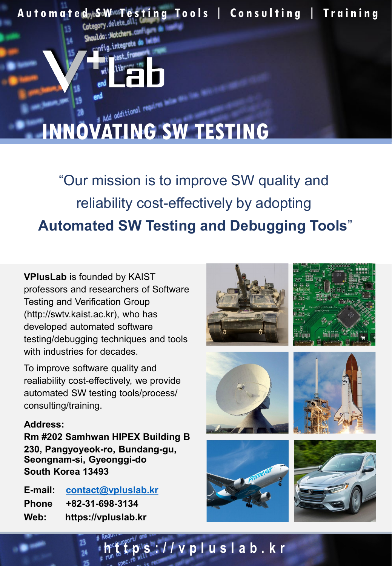

"Our mission is to improve SW quality and reliability cost-effectively by adopting **Automated SW Testing and Debugging Tools**"

**VPlusLab** is founded by KAIST professors and researchers of Software Testing and Verification Group (http://swtv.kaist.ac.kr), who has developed automated software testing/debugging techniques and tools with industries for decades.

To improve software quality and realiability cost-effectively, we provide automated SW testing tools/process/ consulting/training.

#### **Address:**

**Rm #202 Samhwan HIPEX Building B 230, Pangyoyeok-ro, Bundang-gu, Seongnam-si, Gyeonggi-do South Korea 13493**

**E-mail: [contact@vpluslab.kr](mailto:contact@vpluslab.kr) Phone +82-31-698-3134 Web: https://vpluslab.kr**



**https://vpluslab.kr**